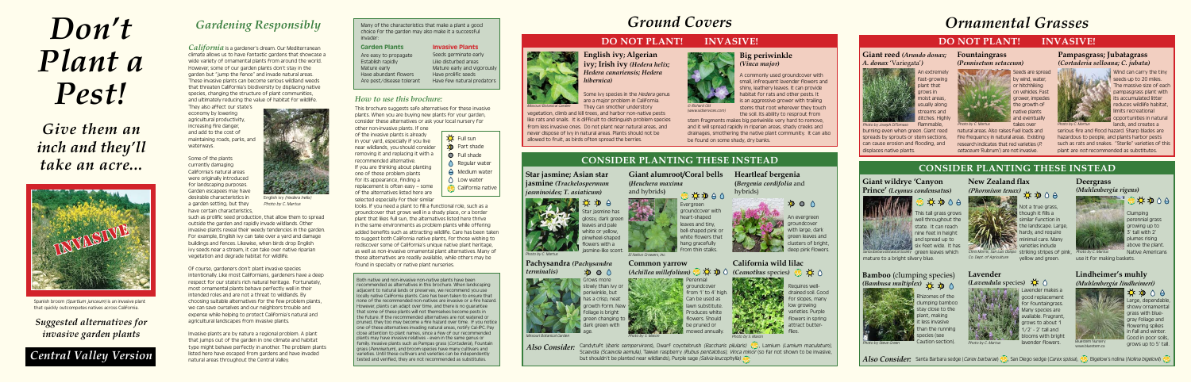Wind can carry the tiny seeds up to 20 miles. The massive size of each pampasgrass plant with its accumulated litter reduces wildlife habitat, limits recreational opportunities in natural lands, and creates a

serious fire and flood hazard. Sharp blades are hazardous to people, and plants harbor pests such as rats and snakes. "Sterile" varieties of this plant are *not* recommended as substitutes.

Seeds are spread by wind, water, or hitchhiking on vehicles. Fast grower, impedes the growth of native plants and eventually takes over

natural areas. Also raises fuel loads and fire frequency in natural areas. Existing research indicates that red varieties (P. setaceum 'Rubrum') are not invasive.

Photo by C. Martus **Example 2018** takes over **Photo by C. Martus** 

Some of the plants currently damaging California's natural areas were originally introduced for landscaping purposes. Garden escapees may have desirable characteristics in a garden setting, but they have certain characteristics

*California* is a gardener's dream. Our Mediterranean climate allows us to have fantastic gardens that showcase a wide variety of ornamental plants from around the world. However, some of our garden plants don't stay in the garden but "jump the fence" and invade natural areas. These invasive plants can become serious wildland weeds that threaten California's biodiversity by displacing native species, changing the structure of plant communities, and ultimately reducing the value of habitat for wildlife.

They also affect our state's economy by lowering agricultural productivity, increasing fire danger, and add to the cost of maintaining roads, parks, and waterways.

such as prolific seed production, that allow them to spread outside the garden and rapidly invade wildlands. Other invasive plants reveal their weedy tendencies in the garden. For example, English ivy can take over a yard and damage buildings and fences. Likewise, when birds drop English ivy seeds near a stream, it can take over native riparian vegetation and degrade habitat for wildlife.

Of course, gardeners don't plant invasive species intentionally. Like most Californians, gardeners have a deep respect for our state's rich natural heritage. Fortunately, most ornamental plants behave perfectly well in their intended roles and are not a threat to wildlands. By choosing suitable alternatives for the few problem plants, we can save ourselves and our neighbors trouble and expense while helping to protect California's natural and agricultural landscapes from invasive plants.

looks. If you need a plant to fill a functional role, such as a groundcover that grows well in a shady place, or a border plant that likes full sun, the alternatives listed here thrive in the same environments as problem plants while offering added benefits such as attracting wildlife. Care has been taken to suggest both California native plants, for those wishing to rediscover some of California's unique native plant heritage, as well as non-invasive ornamental plant alternatives. Many of these alternatives are readily available, while others may be found in specialty or native plant nurseries. From thin stalks. Sometime invasive plants reveal their weedy tendencies in the garden.<br>
In the same environments as problem plants while of rering<br>
for example, English ivy can take over a yard and damage<br>
buildings and f

> Invasive plants are by nature a regional problem. A plant that jumps out of the garden in one climate and habitat type might behave perfectly in another. The problem plants listed here have escaped from gardens and have invaded natural areas throughout the Central Valley.

## *Gardening Responsibly*



English ivy (Hedera helix) Photo by C. Martus

Many of the characteristics that make a plant a good choice for the garden may also make it a successful invader:

#### Garden Plants



Spanish broom (Spartium junceum) is an invasive plant that quickly outcompetes natives across California.

Are easy to propagate Establish rapidly Mature early Have abundant flowers Are pest/disease tolerant

> Star jasmine has glossy, dark green leaves and pale white or yellow, pinwheel-shaped flowers with a asmine-like scent.

Invasive Plants

Seeds germinate early Like disturbed areas Mature early and vigorously Have prolific seeds Have few natural predators

> Some ivy species in the Hedera genus are a major problem in California.

Both native and non-invasive non-native plants have been recommended as alternatives in this brochure. When landscaping adjacent to natural lands or preserves, we recommend you use locally native California plants. Care has been taken to ensure that none of the recommended non-natives are invasive or a fire hazar However, plants can adapt over time, and there is no guarantee hat some of these plants will not themselves become pests in the future. If the recommended alternatives are not watered or pruned, they too may become a fire hazard over time. If you notice one of these alternatives invading natural areas, notify Cal-IPC. Pay close attention to plant names, since a few of our recommended plants may have invasive relatives - even in the same genus or family. Invasive plants such as Pampas grass (*Cortaderia*), Fountain grass (Pennisetum), and broom species have many cultivars and varieties. Until these cultivars and varieties can be independently tested and verified, they are not recommended as substitutes.

 $\phi \circ \phi$ Large, dependable showy ornamenta grass with bluegray foliage and flowering spikes in fall and winter. Good in poor soils, grows up to 5' tall.

### *How to use this brochure:*

This brochure suggests safe alternatives for these invasive plants. When you are buying new plants for your garden, consider these alternatives or ask your local nursery for

> Rhizomes of the clumping bamboo stay close to the plant, making : less invasive than the running species

This tall grass grows well throughout the state. It can reach nine feet in height and spread up to  $s$ ix feet wide. It has  $s$ 

other non-invasive plants. If one of the invasive plants is already in your yard, especially if you live near wildlands, you should consider removing it and replacing it with a recommended alternative. If you are thinking about planting one of these problem plants for its appearance, finding a replacement is often easy – some of the alternatives listed here are selected especially for their similar

**D** Full sun **D** Part shade **O** Full shade △ Regular water **A** Medium water  $\bigcap$  Low water California native

> Santa Barbara Botanical Society green leaves which mature to a bright silvery blue.

## *Ground Covers*

## **CONSIDER PLANTING THESE INSTEAD**

*Also Consider:*

## *Ornamental Grasses*

## **DO NOT PLANT! INVASIVE!**

#### **Giant reed** *(Arundo donax;*  **Fountaingrass**

*A. donax* 'Variegata'*)*

*(Pennisetum setaceum)*

#### **Pampasgrass; Jubatagrass**  *(Cortaderia selloana; C. jubata)*



# *Don't Plant a Pest!*

*Give them an inch and they'll take an acre...*

## *Suggested alternatives for invasive garden plants*

## *Central Valley Version*

**Star jasmine; Asian star jasmine** *(Trachelospermum jasminoides; T. asiaticum)*

## **DO NOT PLANT! INVASIVE!**

A commonly used groundcover with small, infrequent lavender flowers and shiny, leathery leaves. It can provide habitat for rats and other pests. It is an aggressive grower with trailing stems that root wherever they touch the soil. Its ability to resprout from

stem fragments makes big periwinkle very hard to remove, and it will spread rapidly in riparian areas, shady creeks and drainages, smothering the native plant community. It can also be found on some shady, dry banks.

#### **Big periwinkle** *(Vinca major)*

They can smother understory

vegetation, climb and kill trees, and harbor non-native pests like rats and snails. It is difficult to distinguish problem species from less invasive ones. Do not plant near natural areas, and never dispose of ivy in natural areas. Plants should not be allowed to fruit, as birds often spread the berries.

### **English ivy; Algerian ivy; Irish ivy** *(Hedera helix; Hedera canariensis; Hedera hibernica)*

**Heartleaf bergenia (***Bergenia cordifolia* and

hybrids)

An evergreen groundcover with large, dark green leaves and clusters of bright, deep pink flowers.

 $\mathfrak{D} \circ \wedge$ 



flammable,

burning even when green. Giant reed spreads by sprouts or stem sections, can cause erosion and flooding, and



displaces native plants.

hoto by Joseph DiTomaso

## **CONSIDER PLANTING THESE INSTEAD**

**Lavender** 



Lavender makes a good replacement for fountaingrass. Many species are available. Fragrant, grows to about 1 1/2' - 2' tall and blooms with bright

Photo by C. Martus **Bluestem Nursery Lavender flowers.** Bluestem Nursery



### **Lindheimer's muhly** *(Muhlenbergia lindheimeri)*



www.bluestem.ca

**Common yarrow** 



but shouldn't be planted near wildlands), Purple sage (Salvia leucophylla)

groundcover from 1' to 4' high. Can be used as lawn substitute. Produces white

flowers. Should be pruned or mowed annually.

Candytuft (Iberis sempervirens), Dwarf coyotebrush (Baccharis pilularis) , Lamium (Lamium maculatum), Scaevola (Scaevola aemula), Taiwan raspberry (Rubus pentalobus), Vinca minor (so far not shown to be invasive,

#### **Pachysandra** *(Pachysandra*   $\mathfrak{D} \circ \mathfrak{O}$ *terminalis)*



Grows more  $s$ lowly than ivy o $\,$ periwinkle, but has a crisp, neat growth form. New foliage is bright green changing t dark green with age.

**Giant alumroot/Coral bells** 

**(***Heuchera maxima*

and hybrids**)**

 $\mathcal{L}^{\text{d}}$  is equal to

Evergreen groundcover with heart-shaped eaves and tiny, bell-shaped pink or white flowers that hang gracefully

 $\bullet$   $\phi \phi \circ \circ$ 

El Nativo Growers, Inc.

**California wild lilac** 

Requires welldrained soil. Good for slopes, many low growing varieties. Purple flowers in spring **attract butter**flies.

### **Bamboo** (clumping species) *(Bambusa multiplex)*



Caution section).





















lot a true grass though it fills a similar function in the landscape. Large



#### **Giant wildrye 'Canyon Prince'** *(Leymus condensatus)*

© Richard Old (www.xidservices.com)



Missouri Botanical Garden

Missouri Botanical Garden



Photo by C. Martus

Photo by S. Mason



### **Deergrass** *(Muhlenbergia rigens)*



Clumping perennial grass

 $A \times D \cup A$ 

growing up to 3' tall with 2' plumes rising above the plant.

Chris Morris, San Luis Obispo striking stripes of pink,

Native Americans use it for making baskets. Photo by C. Martus

**New Zealand flax** 

*(Phormium tenax)*

hardy, and require minimal care. Many

varieties include

yellow and green.

Co. Dept. of Agriculture

Photo by S. Mason